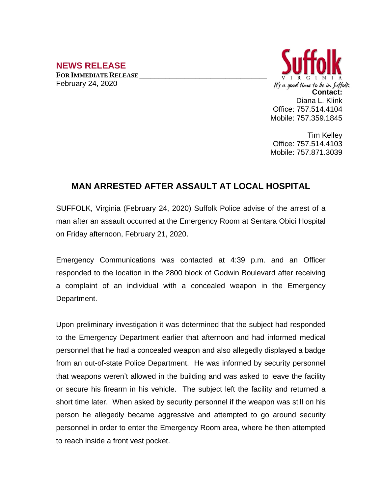## **NEWS RELEASE**

**FOR IMMEDIATE RELEASE \_\_\_\_\_\_\_\_\_\_\_\_\_\_\_\_\_\_\_\_\_\_\_\_\_\_\_\_\_\_\_\_\_\_** February 24, 2020



Tim Kelley Office: 757.514.4103 Mobile: 757.871.3039

## **MAN ARRESTED AFTER ASSAULT AT LOCAL HOSPITAL**

SUFFOLK, Virginia (February 24, 2020) Suffolk Police advise of the arrest of a man after an assault occurred at the Emergency Room at Sentara Obici Hospital on Friday afternoon, February 21, 2020.

Emergency Communications was contacted at 4:39 p.m. and an Officer responded to the location in the 2800 block of Godwin Boulevard after receiving a complaint of an individual with a concealed weapon in the Emergency Department.

Upon preliminary investigation it was determined that the subject had responded to the Emergency Department earlier that afternoon and had informed medical personnel that he had a concealed weapon and also allegedly displayed a badge from an out-of-state Police Department. He was informed by security personnel that weapons weren't allowed in the building and was asked to leave the facility or secure his firearm in his vehicle. The subject left the facility and returned a short time later. When asked by security personnel if the weapon was still on his person he allegedly became aggressive and attempted to go around security personnel in order to enter the Emergency Room area, where he then attempted to reach inside a front vest pocket.